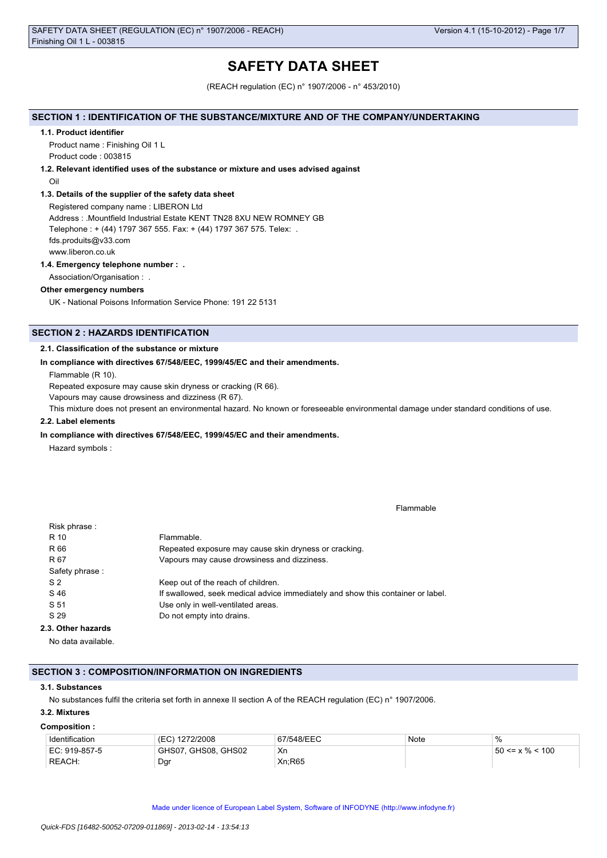# **SAFETY DATA SHEET**

(REACH regulation (EC) n° 1907/2006 - n° 453/2010)

### **SECTION 1 : IDENTIFICATION OF THE SUBSTANCE/MIXTURE AND OF THE COMPANY/UNDERTAKING**

#### **1.1. Product identifier**

Product name : Finishing Oil 1 L Product code : 003815

### **1.2. Relevant identified uses of the substance or mixture and uses advised against**

Oil

### **1.3. Details of the supplier of the safety data sheet**

Registered company name : LIBERON Ltd Address : .Mountfield Industrial Estate KENT TN28 8XU NEW ROMNEY GB Telephone : + (44) 1797 367 555. Fax: + (44) 1797 367 575. Telex: . fds.produits@v33.com www.liberon.co.uk

### **1.4. Emergency telephone number : .**

Association/Organisation : .

### **Other emergency numbers**

UK - National Poisons Information Service Phone: 191 22 5131

# **SECTION 2 : HAZARDS IDENTIFICATION**

### **2.1. Classification of the substance or mixture**

### **In compliance with directives 67/548/EEC, 1999/45/EC and their amendments.**

Flammable (R 10).

Repeated exposure may cause skin dryness or cracking (R 66).

Vapours may cause drowsiness and dizziness (R 67).

This mixture does not present an environmental hazard. No known or foreseeable environmental damage under standard conditions of use.

## **2.2. Label elements**

#### **In compliance with directives 67/548/EEC, 1999/45/EC and their amendments.**

Hazard symbols :

Flammable

| Risk phrase:       |                                                                                 |
|--------------------|---------------------------------------------------------------------------------|
| R 10               | Flammable.                                                                      |
| R 66               | Repeated exposure may cause skin dryness or cracking.                           |
| R 67               | Vapours may cause drowsiness and dizziness.                                     |
| Safety phrase:     |                                                                                 |
| S <sub>2</sub>     | Keep out of the reach of children.                                              |
| S 46               | If swallowed, seek medical advice immediately and show this container or label. |
| S 51               | Use only in well-ventilated areas.                                              |
| S 29               | Do not empty into drains.                                                       |
| 2.3. Other hazards |                                                                                 |
|                    |                                                                                 |

No data available.

### **SECTION 3 : COMPOSITION/INFORMATION ON INGREDIENTS**

#### **3.1. Substances**

No substances fulfil the criteria set forth in annexe II section A of the REACH regulation (EC) n° 1907/2006.

# **3.2. Mixtures**

#### **Composition :**

| Identification | 1272/2008<br>'EC)   | 67/548/EEC | Note | $\%$                   |
|----------------|---------------------|------------|------|------------------------|
| EC: 919-857-5  | GHS07, GHS08, GHS02 | Xn         |      | $150 \le x \% \le 100$ |
| REACH:         | Dgr                 | Xn:R65     |      |                        |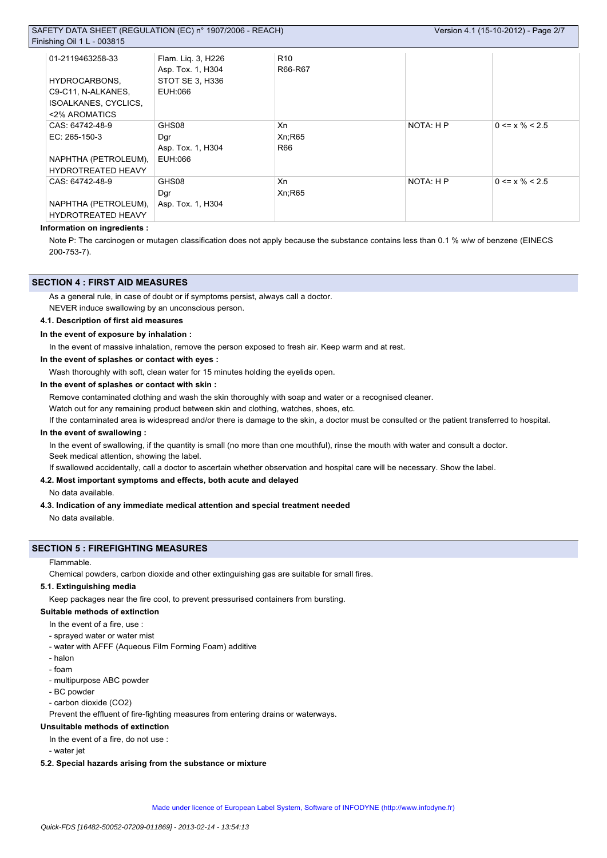## SAFETY DATA SHEET (REGULATION (EC) n° 1907/2006 - REACH)  $F$ in

| ishing Oil 1 L - 003815   |                                         |                            |           |                      |  |
|---------------------------|-----------------------------------------|----------------------------|-----------|----------------------|--|
| 01-2119463258-33          | Flam. Lig. 3, H226<br>Asp. Tox. 1, H304 | R <sub>10</sub><br>R66-R67 |           |                      |  |
| HYDROCARBONS,             | STOT SE 3, H336                         |                            |           |                      |  |
| C9-C11, N-ALKANES,        | EUH:066                                 |                            |           |                      |  |
| ISOALKANES, CYCLICS,      |                                         |                            |           |                      |  |
| <2% AROMATICS             |                                         |                            |           |                      |  |
| CAS: 64742-48-9           | GHS08                                   | Xn                         | NOTA: H P | $0 \le x \% \le 2.5$ |  |
| $EC: 265-150-3$           | Dgr                                     | Xn:R65                     |           |                      |  |
|                           | Asp. Tox. 1, H304                       | R66                        |           |                      |  |
| NAPHTHA (PETROLEUM),      | EUH:066                                 |                            |           |                      |  |
| <b>HYDROTREATED HEAVY</b> |                                         |                            |           |                      |  |
| CAS: 64742-48-9           | GHS08                                   | Xn                         | NOTA: H P | $0 \le x \% \le 2.5$ |  |
|                           | Dgr                                     | Xn:R65                     |           |                      |  |
| NAPHTHA (PETROLEUM),      | Asp. Tox. 1, H304                       |                            |           |                      |  |
| <b>HYDROTREATED HEAVY</b> |                                         |                            |           |                      |  |

### **Information on ingredients :**

Note P: The carcinogen or mutagen classification does not apply because the substance contains less than 0.1 % w/w of benzene (EINECS 200-753-7).

### **SECTION 4 : FIRST AID MEASURES**

As a general rule, in case of doubt or if symptoms persist, always call a doctor.

NEVER induce swallowing by an unconscious person.

# **4.1. Description of first aid measures**

**In the event of exposure by inhalation :**

In the event of massive inhalation, remove the person exposed to fresh air. Keep warm and at rest.

**In the event of splashes or contact with eyes :**

Wash thoroughly with soft, clean water for 15 minutes holding the eyelids open.

### **In the event of splashes or contact with skin :**

Remove contaminated clothing and wash the skin thoroughly with soap and water or a recognised cleaner.

Watch out for any remaining product between skin and clothing, watches, shoes, etc.

If the contaminated area is widespread and/or there is damage to the skin, a doctor must be consulted or the patient transferred to hospital.

# **In the event of swallowing :**

In the event of swallowing, if the quantity is small (no more than one mouthful), rinse the mouth with water and consult a doctor. Seek medical attention, showing the label.

If swallowed accidentally, call a doctor to ascertain whether observation and hospital care will be necessary. Show the label.

## **4.2. Most important symptoms and effects, both acute and delayed**

No data available.

### **4.3. Indication of any immediate medical attention and special treatment needed**

No data available.

### **SECTION 5 : FIREFIGHTING MEASURES**

#### Flammable.

Chemical powders, carbon dioxide and other extinguishing gas are suitable for small fires.

### **5.1. Extinguishing media**

Keep packages near the fire cool, to prevent pressurised containers from bursting.

#### **Suitable methods of extinction**

- In the event of a fire, use :
- sprayed water or water mist
- water with AFFF (Aqueous Film Forming Foam) additive
- halon
- foam
- multipurpose ABC powder
- BC powder
- carbon dioxide (CO2)

Prevent the effluent of fire-fighting measures from entering drains or waterways.

# **Unsuitable methods of extinction**

In the event of a fire, do not use :

- water jet

# **5.2. Special hazards arising from the substance or mixture**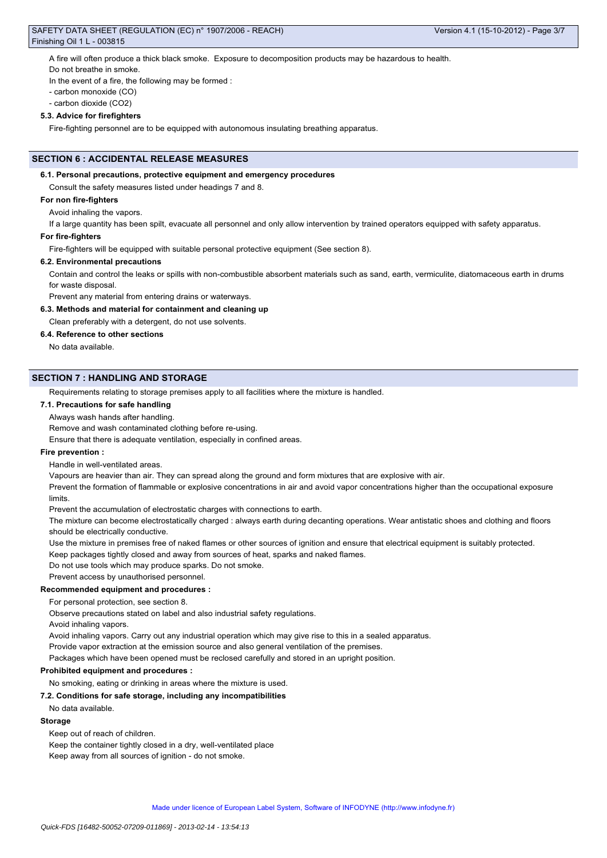# SAFETY DATA SHEET (REGULATION (EC) n° 1907/2006 - REACH) Finishing Oil 1 L - 003815

A fire will often produce a thick black smoke. Exposure to decomposition products may be hazardous to health.

Do not breathe in smoke.

In the event of a fire, the following may be formed :

- carbon monoxide (CO)
- carbon dioxide (CO2)

# **5.3. Advice for firefighters**

Fire-fighting personnel are to be equipped with autonomous insulating breathing apparatus.

# **SECTION 6 : ACCIDENTAL RELEASE MEASURES**

# **6.1. Personal precautions, protective equipment and emergency procedures**

Consult the safety measures listed under headings 7 and 8.

# **For non fire-fighters**

Avoid inhaling the vapors.

If a large quantity has been spilt, evacuate all personnel and only allow intervention by trained operators equipped with safety apparatus.

# **For fire-fighters**

Fire-fighters will be equipped with suitable personal protective equipment (See section 8).

# **6.2. Environmental precautions**

Contain and control the leaks or spills with non-combustible absorbent materials such as sand, earth, vermiculite, diatomaceous earth in drums for waste disposal.

Prevent any material from entering drains or waterways.

# **6.3. Methods and material for containment and cleaning up**

Clean preferably with a detergent, do not use solvents.

# **6.4. Reference to other sections**

No data available.

### **SECTION 7 : HANDLING AND STORAGE**

Requirements relating to storage premises apply to all facilities where the mixture is handled.

#### **7.1. Precautions for safe handling**

# Always wash hands after handling.

Remove and wash contaminated clothing before re-using.

Ensure that there is adequate ventilation, especially in confined areas.

### **Fire prevention :**

Handle in well-ventilated areas.

Vapours are heavier than air. They can spread along the ground and form mixtures that are explosive with air.

Prevent the formation of flammable or explosive concentrations in air and avoid vapor concentrations higher than the occupational exposure limits.

Prevent the accumulation of electrostatic charges with connections to earth.

The mixture can become electrostatically charged : always earth during decanting operations. Wear antistatic shoes and clothing and floors should be electrically conductive.

Use the mixture in premises free of naked flames or other sources of ignition and ensure that electrical equipment is suitably protected.

Keep packages tightly closed and away from sources of heat, sparks and naked flames.

Do not use tools which may produce sparks. Do not smoke.

Prevent access by unauthorised personnel.

# **Recommended equipment and procedures :**

For personal protection, see section 8.

Observe precautions stated on label and also industrial safety regulations.

Avoid inhaling vapors.

Avoid inhaling vapors. Carry out any industrial operation which may give rise to this in a sealed apparatus.

Provide vapor extraction at the emission source and also general ventilation of the premises.

Packages which have been opened must be reclosed carefully and stored in an upright position.

### **Prohibited equipment and procedures :**

No smoking, eating or drinking in areas where the mixture is used.

### **7.2. Conditions for safe storage, including any incompatibilities**

No data available.

### **Storage**

Keep out of reach of children.

Keep the container tightly closed in a dry, well-ventilated place

Keep away from all sources of ignition - do not smoke.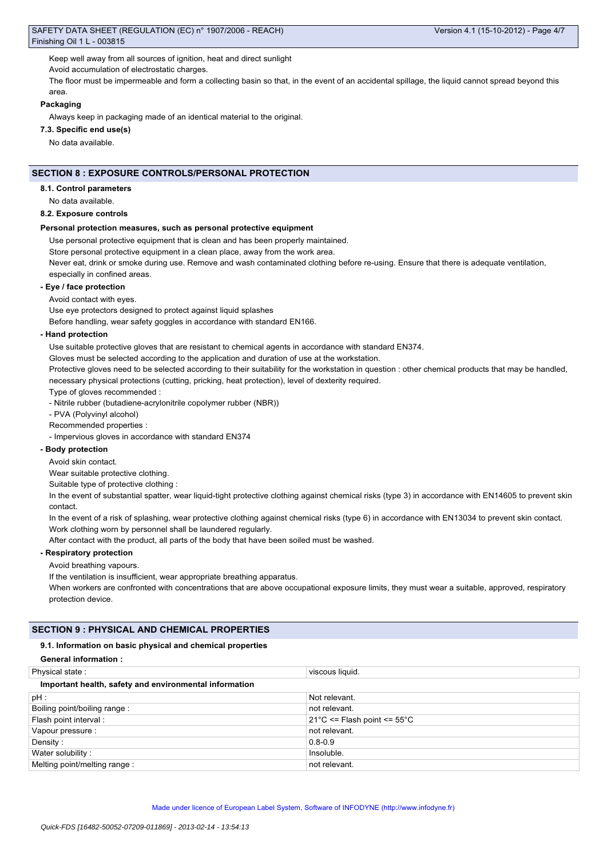Keep well away from all sources of ignition, heat and direct sunlight

Avoid accumulation of electrostatic charges.

The floor must be impermeable and form a collecting basin so that, in the event of an accidental spillage, the liquid cannot spread beyond this area.

#### **Packaging**

Always keep in packaging made of an identical material to the original.

## **7.3. Specific end use(s)**

No data available.

# **SECTION 8 : EXPOSURE CONTROLS/PERSONAL PROTECTION**

#### **8.1. Control parameters**

No data available.

#### **8.2. Exposure controls**

### **Personal protection measures, such as personal protective equipment**

Use personal protective equipment that is clean and has been properly maintained.

Store personal protective equipment in a clean place, away from the work area.

Never eat, drink or smoke during use. Remove and wash contaminated clothing before re-using. Ensure that there is adequate ventilation, especially in confined areas.

#### **- Eye / face protection**

Avoid contact with eyes.

Use eye protectors designed to protect against liquid splashes

Before handling, wear safety goggles in accordance with standard EN166.

#### **- Hand protection**

Use suitable protective gloves that are resistant to chemical agents in accordance with standard EN374.

Gloves must be selected according to the application and duration of use at the workstation.

Protective gloves need to be selected according to their suitability for the workstation in question : other chemical products that may be handled, necessary physical protections (cutting, pricking, heat protection), level of dexterity required.

Type of gloves recommended :

- Nitrile rubber (butadiene-acrylonitrile copolymer rubber (NBR))

- PVA (Polyvinyl alcohol)

Recommended properties :

- Impervious gloves in accordance with standard EN374

## **- Body protection**

Avoid skin contact.

Wear suitable protective clothing.

Suitable type of protective clothing :

In the event of substantial spatter, wear liquid-tight protective clothing against chemical risks (type 3) in accordance with EN14605 to prevent skin contact.

In the event of a risk of splashing, wear protective clothing against chemical risks (type 6) in accordance with EN13034 to prevent skin contact. Work clothing worn by personnel shall be laundered regularly.

After contact with the product, all parts of the body that have been soiled must be washed.

# **- Respiratory protection**

Avoid breathing vapours.

If the ventilation is insufficient, wear appropriate breathing apparatus.

When workers are confronted with concentrations that are above occupational exposure limits, they must wear a suitable, approved, respiratory protection device.

# **SECTION 9 : PHYSICAL AND CHEMICAL PROPERTIES**

#### **9.1. Information on basic physical and chemical properties**

| <b>General information:</b>                            |                                                 |  |  |  |
|--------------------------------------------------------|-------------------------------------------------|--|--|--|
| Physical state:                                        | viscous liquid.                                 |  |  |  |
| Important health, safety and environmental information |                                                 |  |  |  |
| pH:                                                    | Not relevant.                                   |  |  |  |
| Boiling point/boiling range:                           | not relevant.                                   |  |  |  |
| Flash point interval :                                 | $21^{\circ}$ C <= Flash point <= $55^{\circ}$ C |  |  |  |
| Vapour pressure :                                      | not relevant.                                   |  |  |  |
| Density:                                               | $0.8 - 0.9$                                     |  |  |  |
| Water solubility:                                      | Insoluble.                                      |  |  |  |
| Melting point/melting range:                           | not relevant.                                   |  |  |  |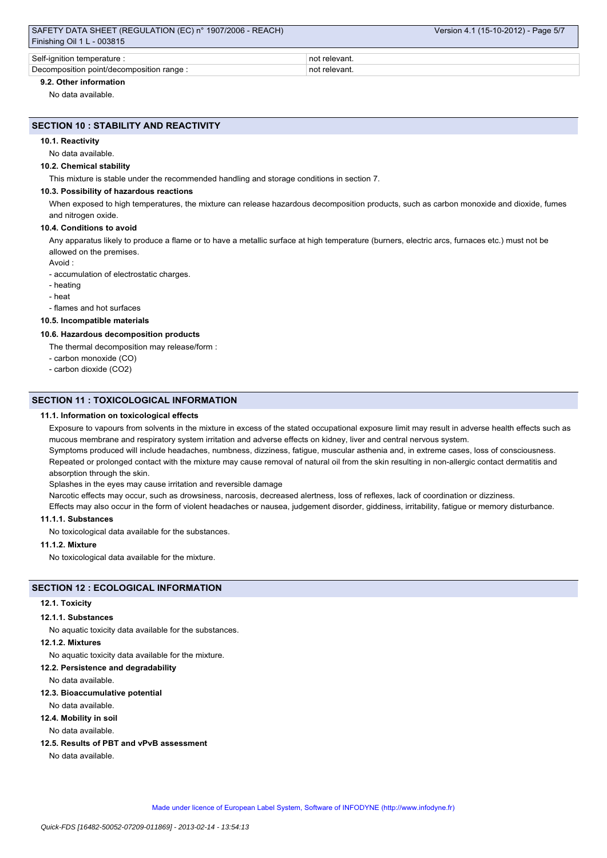| SAFETY DATA SHEET (REGULATION (EC) n° 1907/2006 - REACH) | Version 4.1 (15-10-2012) - Page 5/7 |  |  |  |  |
|----------------------------------------------------------|-------------------------------------|--|--|--|--|
| Finishing Oil 1 L - 003815                               |                                     |  |  |  |  |
|                                                          |                                     |  |  |  |  |
| Self-ignition temperature :                              | not relevant.                       |  |  |  |  |
| Decomposition point/decomposition range:                 | not relevant.                       |  |  |  |  |

# **9.2. Other information**

No data available.

### **SECTION 10 : STABILITY AND REACTIVITY**

#### **10.1. Reactivity**

## No data available.

#### **10.2. Chemical stability**

This mixture is stable under the recommended handling and storage conditions in section 7.

#### **10.3. Possibility of hazardous reactions**

When exposed to high temperatures, the mixture can release hazardous decomposition products, such as carbon monoxide and dioxide, fumes and nitrogen oxide.

#### **10.4. Conditions to avoid**

Any apparatus likely to produce a flame or to have a metallic surface at high temperature (burners, electric arcs, furnaces etc.) must not be allowed on the premises.

Avoid :

- accumulation of electrostatic charges.

- heating
- heat

- flames and hot surfaces

# **10.5. Incompatible materials**

### **10.6. Hazardous decomposition products**

The thermal decomposition may release/form :

- carbon monoxide (CO)
- carbon dioxide (CO2)

### **SECTION 11 : TOXICOLOGICAL INFORMATION**

#### **11.1. Information on toxicological effects**

Exposure to vapours from solvents in the mixture in excess of the stated occupational exposure limit may result in adverse health effects such as mucous membrane and respiratory system irritation and adverse effects on kidney, liver and central nervous system.

Symptoms produced will include headaches, numbness, dizziness, fatigue, muscular asthenia and, in extreme cases, loss of consciousness. Repeated or prolonged contact with the mixture may cause removal of natural oil from the skin resulting in non-allergic contact dermatitis and absorption through the skin.

Splashes in the eyes may cause irritation and reversible damage

Narcotic effects may occur, such as drowsiness, narcosis, decreased alertness, loss of reflexes, lack of coordination or dizziness.

Effects may also occur in the form of violent headaches or nausea, judgement disorder, giddiness, irritability, fatigue or memory disturbance.

## **11.1.1. Substances**

No toxicological data available for the substances.

## **11.1.2. Mixture**

No toxicological data available for the mixture.

# **SECTION 12 : ECOLOGICAL INFORMATION**

#### **12.1. Toxicity**

#### **12.1.1. Substances**

No aquatic toxicity data available for the substances.

#### **12.1.2. Mixtures**

No aquatic toxicity data available for the mixture.

#### **12.2. Persistence and degradability**

No data available.

#### **12.3. Bioaccumulative potential**

No data available.

### **12.4. Mobility in soil**

No data available.

**12.5. Results of PBT and vPvB assessment**

No data available.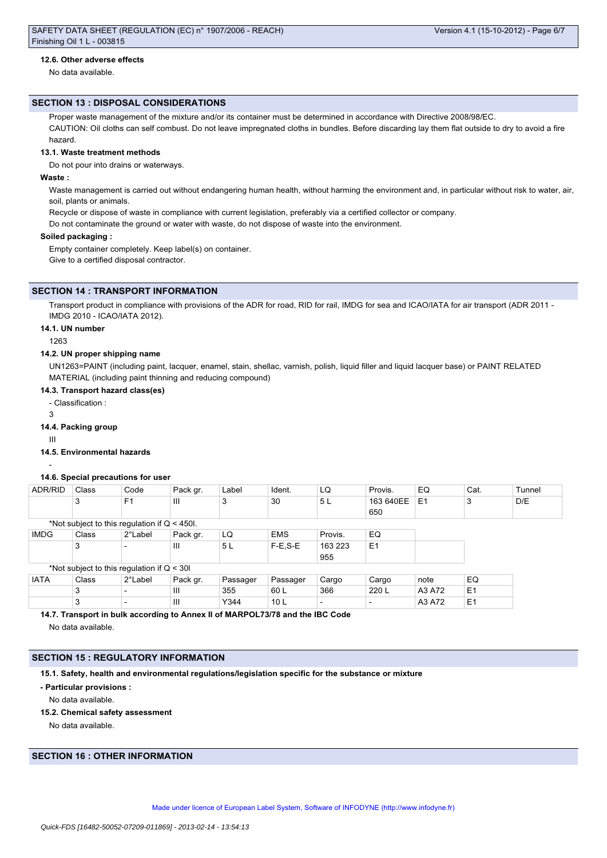### **12.6. Other adverse effects**

No data available.

#### **SECTION 13 : DISPOSAL CONSIDERATIONS**

Proper waste management of the mixture and/or its container must be determined in accordance with Directive 2008/98/EC.

CAUTION: Oil cloths can self combust. Do not leave impregnated cloths in bundles. Before discarding lay them flat outside to dry to avoid a fire hazard.

# **13.1. Waste treatment methods**

Do not pour into drains or waterways.

### **Waste :**

Waste management is carried out without endangering human health, without harming the environment and, in particular without risk to water, air, soil, plants or animals.

Recycle or dispose of waste in compliance with current legislation, preferably via a certified collector or company.

Do not contaminate the ground or water with waste, do not dispose of waste into the environment.

#### **Soiled packaging :**

Empty container completely. Keep label(s) on container. Give to a certified disposal contractor.

### **SECTION 14 : TRANSPORT INFORMATION**

Transport product in compliance with provisions of the ADR for road, RID for rail, IMDG for sea and ICAO/IATA for air transport (ADR 2011 -IMDG 2010 - ICAO/IATA 2012).

#### **14.1. UN number**

1263

#### **14.2. UN proper shipping name**

UN1263=PAINT (including paint, lacquer, enamel, stain, shellac, varnish, polish, liquid filler and liquid lacquer base) or PAINT RELATED MATERIAL (including paint thinning and reducing compound)

### **14.3. Transport hazard class(es)**

- Classification :

3

#### **14.4. Packing group**

III

### **14.5. Environmental hazards**

**14.6. Special precautions for user**

# -

| ADR/RID     | Class                                          | Code           | Pack gr.       | Label    | Ident.     | LQ      | Provis.        | EQ             | Cat.           | Tunnel |
|-------------|------------------------------------------------|----------------|----------------|----------|------------|---------|----------------|----------------|----------------|--------|
|             | 3                                              | F <sub>1</sub> | Ш              | 3        | 30         | 5L      | 163 640EE      | E <sub>1</sub> | 3              | D/E    |
|             |                                                |                |                |          |            |         | 650            |                |                |        |
|             | *Not subject to this regulation if $Q < 450$ . |                |                |          |            |         |                |                |                |        |
| <b>IMDG</b> | Class                                          | 2°Label        | Pack gr.       | LQ       | <b>EMS</b> | Provis. | EQ             |                |                |        |
|             | 3                                              |                | $\mathbf{III}$ | 5L       | $F-E.S-E$  | 163 223 | E <sub>1</sub> |                |                |        |
|             |                                                |                |                |          |            | 955     |                |                |                |        |
|             | *Not subject to this regulation if $Q < 30$    |                |                |          |            |         |                |                |                |        |
| <b>IATA</b> | Class                                          | 2°Label        | Pack gr.       | Passager | Passager   | Cargo   | Cargo          | note           | EQ             |        |
|             | 3                                              |                | Ш              | 355      | 60 L       | 366     | 220 L          | A3 A72         | E <sub>1</sub> |        |

3 |- |III |Y344 |10 L |- |- |A3 A72 |E1

**14.7. Transport in bulk according to Annex II of MARPOL73/78 and the IBC Code** No data available.

# **SECTION 15 : REGULATORY INFORMATION**

**15.1. Safety, health and environmental regulations/legislation specific for the substance or mixture**

**- Particular provisions :**

No data available.

**15.2. Chemical safety assessment**

No data available.

# **SECTION 16 : OTHER INFORMATION**